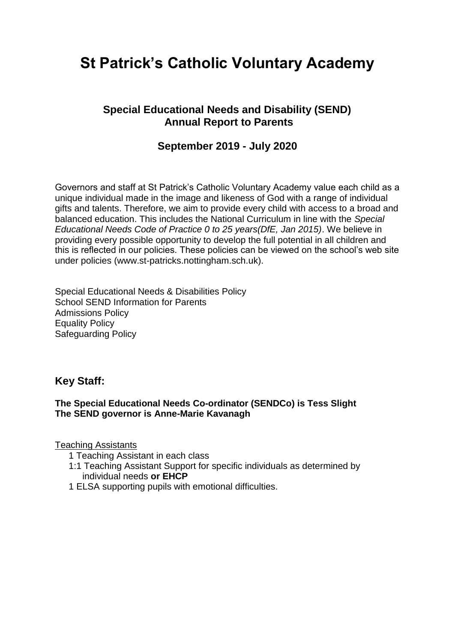# **St Patrick's Catholic Voluntary Academy**

### **Special Educational Needs and Disability (SEND) Annual Report to Parents**

### **September 2019 - July 2020**

Governors and staff at St Patrick's Catholic Voluntary Academy value each child as a unique individual made in the image and likeness of God with a range of individual gifts and talents. Therefore, we aim to provide every child with access to a broad and balanced education. This includes the National Curriculum in line with the *Special Educational Needs Code of Practice 0 to 25 years(DfE, Jan 2015)*. We believe in providing every possible opportunity to develop the full potential in all children and this is reflected in our policies. These policies can be viewed on the school's web site under policies (www.st-patricks.nottingham.sch.uk).

Special Educational Needs & Disabilities Policy School SEND Information for Parents Admissions Policy Equality Policy Safeguarding Policy

### **Key Staff:**

#### **The Special Educational Needs Co-ordinator (SENDCo) is Tess Slight The SEND governor is Anne-Marie Kavanagh**

#### Teaching Assistants

- 1 Teaching Assistant in each class
- 1:1 Teaching Assistant Support for specific individuals as determined by individual needs **or EHCP**
- 1 ELSA supporting pupils with emotional difficulties.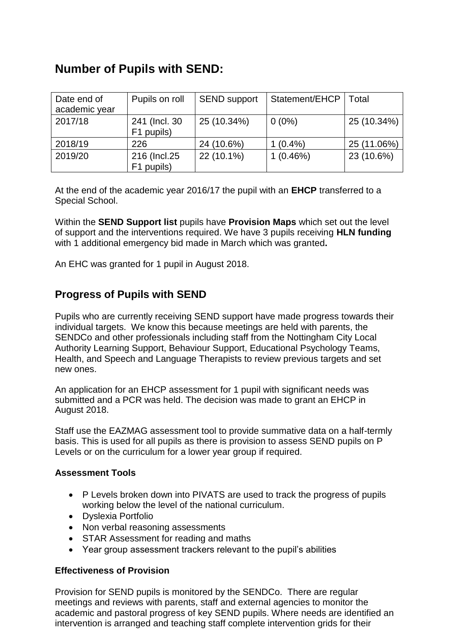## **Number of Pupils with SEND:**

| Date end of<br>academic year | Pupils on roll               | <b>SEND support</b> | Statement/EHCP | Total       |
|------------------------------|------------------------------|---------------------|----------------|-------------|
| 2017/18                      | 241 (Incl. 30)<br>F1 pupils) | 25 (10.34%)         | $0(0\%)$       | 25 (10.34%) |
| 2018/19                      | 226                          | 24 (10.6%)          | $1(0.4\%)$     | 25 (11.06%) |
| 2019/20                      | 216 (Incl.25)<br>F1 pupils)  | 22 (10.1%)          | $1(0.46\%)$    | 23 (10.6%)  |

At the end of the academic year 2016/17 the pupil with an **EHCP** transferred to a Special School.

Within the **SEND Support list** pupils have **Provision Maps** which set out the level of support and the interventions required. We have 3 pupils receiving **HLN funding**  with 1 additional emergency bid made in March which was granted**.** 

An EHC was granted for 1 pupil in August 2018.

### **Progress of Pupils with SEND**

Pupils who are currently receiving SEND support have made progress towards their individual targets. We know this because meetings are held with parents, the SENDCo and other professionals including staff from the Nottingham City Local Authority Learning Support, Behaviour Support, Educational Psychology Teams, Health, and Speech and Language Therapists to review previous targets and set new ones.

An application for an EHCP assessment for 1 pupil with significant needs was submitted and a PCR was held. The decision was made to grant an EHCP in August 2018.

Staff use the EAZMAG assessment tool to provide summative data on a half-termly basis. This is used for all pupils as there is provision to assess SEND pupils on P Levels or on the curriculum for a lower year group if required.

#### **Assessment Tools**

- P Levels broken down into PIVATS are used to track the progress of pupils working below the level of the national curriculum.
- Dyslexia Portfolio
- Non verbal reasoning assessments
- STAR Assessment for reading and maths
- Year group assessment trackers relevant to the pupil's abilities

#### **Effectiveness of Provision**

Provision for SEND pupils is monitored by the SENDCo. There are regular meetings and reviews with parents, staff and external agencies to monitor the academic and pastoral progress of key SEND pupils. Where needs are identified an intervention is arranged and teaching staff complete intervention grids for their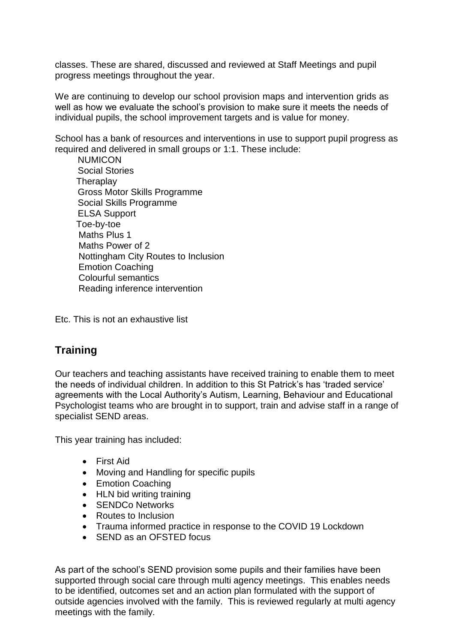classes. These are shared, discussed and reviewed at Staff Meetings and pupil progress meetings throughout the year.

We are continuing to develop our school provision maps and intervention grids as well as how we evaluate the school's provision to make sure it meets the needs of individual pupils, the school improvement targets and is value for money.

School has a bank of resources and interventions in use to support pupil progress as required and delivered in small groups or 1:1. These include:

 NUMICON Social Stories **Theraplay**  Gross Motor Skills Programme Social Skills Programme ELSA Support Toe-by-toe Maths Plus 1 Maths Power of 2 Nottingham City Routes to Inclusion Emotion Coaching Colourful semantics Reading inference intervention

Etc. This is not an exhaustive list

### **Training**

Our teachers and teaching assistants have received training to enable them to meet the needs of individual children. In addition to this St Patrick's has 'traded service' agreements with the Local Authority's Autism, Learning, Behaviour and Educational Psychologist teams who are brought in to support, train and advise staff in a range of specialist SEND areas.

This year training has included:

- First Aid
- Moving and Handling for specific pupils
- Emotion Coaching
- HLN bid writing training
- SENDCo Networks
- Routes to Inclusion
- Trauma informed practice in response to the COVID 19 Lockdown
- SEND as an OFSTED focus

As part of the school's SEND provision some pupils and their families have been supported through social care through multi agency meetings. This enables needs to be identified, outcomes set and an action plan formulated with the support of outside agencies involved with the family. This is reviewed regularly at multi agency meetings with the family.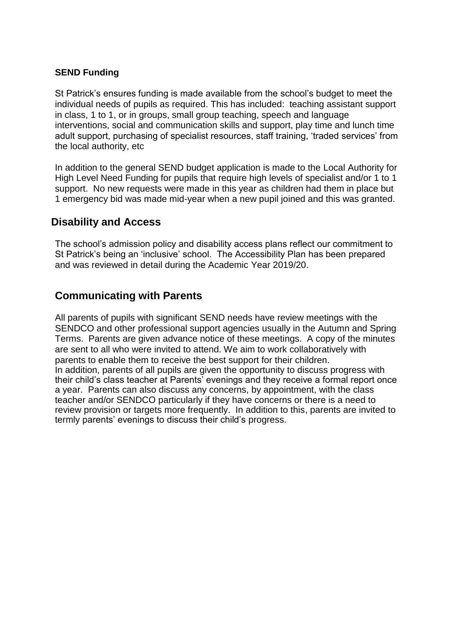#### **SEND Funding**

St Patrick's ensures funding is made available from the school's budget to meet the individual needs of pupils as required. This has included: teaching assistant support in class, 1 to 1, or in groups, small group teaching, speech and language interventions, social and communication skills and support, play time and lunch time adult support, purchasing of specialist resources, staff training, 'traded services' from the local authority, etc

In addition to the general SEND budget application is made to the Local Authority for High Level Need Funding for pupils that require high levels of specialist and/or 1 to 1 support. No new requests were made in this year as children had them in place but 1 emergency bid was made mid-year when a new pupil joined and this was granted.

#### **Disability and Access**

The school's admission policy and disability access plans reflect our commitment to St Patrick's being an 'inclusive' school. The Accessibility Plan has been prepared and was reviewed in detail during the Academic Year 2019/20.

### **Communicating with Parents**

All parents of pupils with significant SEND needs have review meetings with the SENDCO and other professional support agencies usually in the Autumn and Spring Terms. Parents are given advance notice of these meetings. A copy of the minutes are sent to all who were invited to attend. We aim to work collaboratively with parents to enable them to receive the best support for their children. In addition, parents of all pupils are given the opportunity to discuss progress with their child's class teacher at Parents' evenings and they receive a formal report once a year. Parents can also discuss any concerns, by appointment, with the class teacher and/or SENDCO particularly if they have concerns or there is a need to review provision or targets more frequently. In addition to this, parents are invited to termly parents' evenings to discuss their child's progress.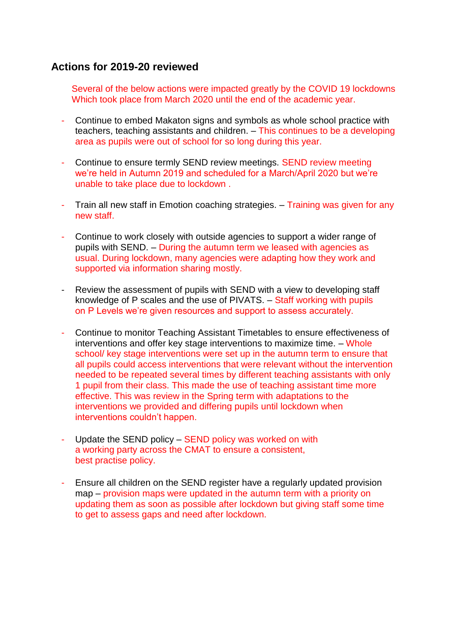### **Actions for 2019-20 reviewed**

Several of the below actions were impacted greatly by the COVID 19 lockdowns Which took place from March 2020 until the end of the academic year.

- Continue to embed Makaton signs and symbols as whole school practice with teachers, teaching assistants and children. – This continues to be a developing area as pupils were out of school for so long during this year.
- Continue to ensure termly SEND review meetings. SEND review meeting we're held in Autumn 2019 and scheduled for a March/April 2020 but we're unable to take place due to lockdown .
- Train all new staff in Emotion coaching strategies. Training was given for any new staff.
- Continue to work closely with outside agencies to support a wider range of pupils with SEND. – During the autumn term we leased with agencies as usual. During lockdown, many agencies were adapting how they work and supported via information sharing mostly.
- Review the assessment of pupils with SEND with a view to developing staff knowledge of P scales and the use of PIVATS. – Staff working with pupils on P Levels we're given resources and support to assess accurately.
- Continue to monitor Teaching Assistant Timetables to ensure effectiveness of interventions and offer key stage interventions to maximize time. – Whole school/ key stage interventions were set up in the autumn term to ensure that all pupils could access interventions that were relevant without the intervention needed to be repeated several times by different teaching assistants with only 1 pupil from their class. This made the use of teaching assistant time more effective. This was review in the Spring term with adaptations to the interventions we provided and differing pupils until lockdown when interventions couldn't happen.
- Update the SEND policy SEND policy was worked on with a working party across the CMAT to ensure a consistent, best practise policy.
- Ensure all children on the SEND register have a regularly updated provision map – provision maps were updated in the autumn term with a priority on updating them as soon as possible after lockdown but giving staff some time to get to assess gaps and need after lockdown.